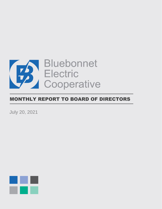

# MONTHLY REPORT TO BOARD OF DIRECTORS

July 20, 2021

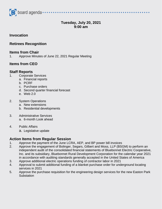

# **Tuesday, July 20, 2021 9:00 am**

 $\begin{array}{ccccccccccccccccc} \bullet & \bullet & \bullet & \bullet & \bullet & \bullet & \bullet & \bullet & \bullet \end{array}$ 

### **Invocation**

## **Retirees Recognition**

#### **Items from Chair**

1. Approve Minutes of June 22, 2021 Regular Meeting

## **Items from CEO**

#### **Staff Reports**

- 1. Corporate Services
	- a. Financial reports
	- b. PCRF
	- c. Purchase orders
	- d. Second quarter financial forecast
	- e. Web 2.0
- 2. System Operations
	- a. New extensions
	- b. Residential developments
- 3. Administrative Services
	- a. 6-month Look ahead
- 4. Public Affairs
	- a. Legislative update

## **Action Items from Regular Session**

- 1. Approve the payment of the June LCRA, AEP, and BP power bill invoices
- 2. Approve the engagement of Bolinger, Segars, Gilbert and Moss, LLP (BSGM) to perform an independent audit of the consolidated financial statements of Bluebonnet Electric Cooperative, Inc. and its subsidiary, Bluebonnet Rural Development Corporation for the calendar year 2021 in accordance with auditing standards generally accepted in the United States of America
- 3. Approve additional electric operations funding of contractor labor in 2021
- 4. Approval to submit additional funding of a blanket purchase order for underground locating services in 2021
- 5. Approve the purchase requisition for the engineering design services for the new Easton Park Substation